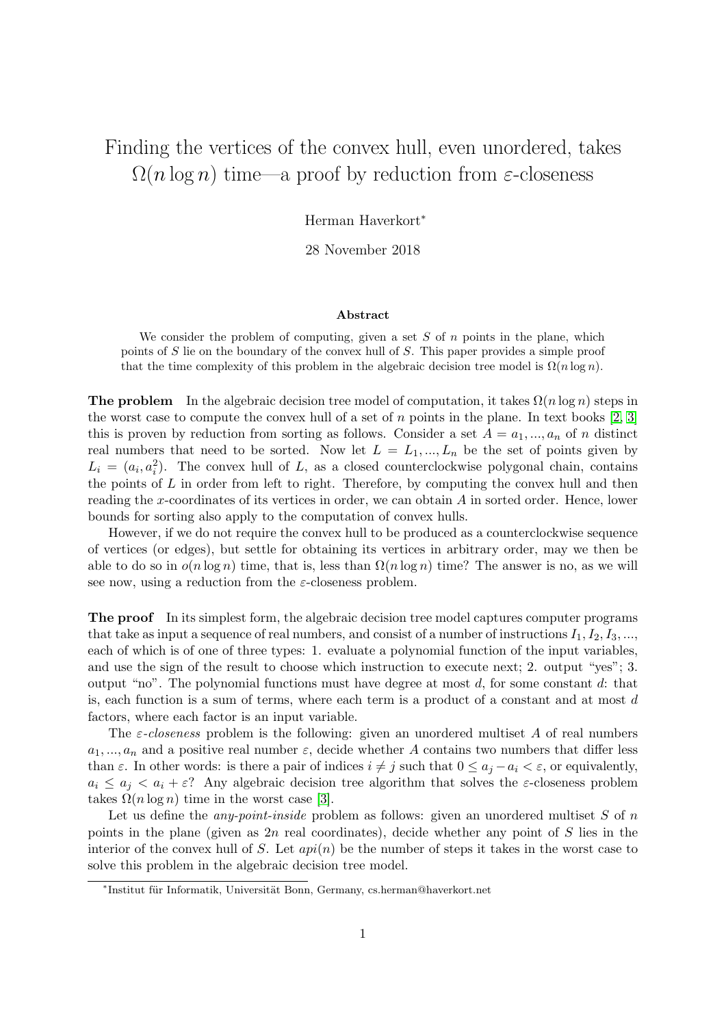## Finding the vertices of the convex hull, even unordered, takes  $\Omega(n \log n)$  time—a proof by reduction from  $\varepsilon$ -closeness

Herman Haverkort<sup>∗</sup>

28 November 2018

## Abstract

We consider the problem of computing, given a set  $S$  of  $n$  points in the plane, which points of S lie on the boundary of the convex hull of S. This paper provides a simple proof that the time complexity of this problem in the algebraic decision tree model is  $\Omega(n \log n)$ .

**The problem** In the algebraic decision tree model of computation, it takes  $\Omega(n \log n)$  steps in the worst case to compute the convex hull of a set of  $n$  points in the plane. In text books  $[2, 3]$  $[2, 3]$ this is proven by reduction from sorting as follows. Consider a set  $A = a_1, ..., a_n$  of n distinct real numbers that need to be sorted. Now let  $L = L_1, ..., L_n$  be the set of points given by  $L_i = (a_i, a_i^2)$ . The convex hull of L, as a closed counterclockwise polygonal chain, contains the points of  $L$  in order from left to right. Therefore, by computing the convex hull and then reading the x-coordinates of its vertices in order, we can obtain A in sorted order. Hence, lower bounds for sorting also apply to the computation of convex hulls.

However, if we do not require the convex hull to be produced as a counterclockwise sequence of vertices (or edges), but settle for obtaining its vertices in arbitrary order, may we then be able to do so in  $o(n \log n)$  time, that is, less than  $\Omega(n \log n)$  time? The answer is no, as we will see now, using a reduction from the  $\varepsilon$ -closeness problem.

The proof In its simplest form, the algebraic decision tree model captures computer programs that take as input a sequence of real numbers, and consist of a number of instructions  $I_1, I_2, I_3, \ldots$ , each of which is of one of three types: 1. evaluate a polynomial function of the input variables, and use the sign of the result to choose which instruction to execute next; 2. output "yes"; 3. output "no". The polynomial functions must have degree at most  $d$ , for some constant  $d$ : that is, each function is a sum of terms, where each term is a product of a constant and at most d factors, where each factor is an input variable.

The  $\varepsilon$ -closeness problem is the following: given an unordered multiset A of real numbers  $a_1, ..., a_n$  and a positive real number  $\varepsilon$ , decide whether A contains two numbers that differ less than  $\varepsilon$ . In other words: is there a pair of indices  $i \neq j$  such that  $0 \leq a_i - a_i \leq \varepsilon$ , or equivalently,  $a_i \le a_j < a_i + \varepsilon$ ? Any algebraic decision tree algorithm that solves the  $\varepsilon$ -closeness problem takes  $\Omega(n \log n)$  time in the worst case [\[3\]](#page-3-1).

Let us define the *any-point-inside* problem as follows: given an unordered multiset S of n points in the plane (given as  $2n$  real coordinates), decide whether any point of S lies in the interior of the convex hull of S. Let  $api(n)$  be the number of steps it takes in the worst case to solve this problem in the algebraic decision tree model.

<sup>\*</sup>Institut für Informatik, Universität Bonn, Germany, cs.herman@haverkort.net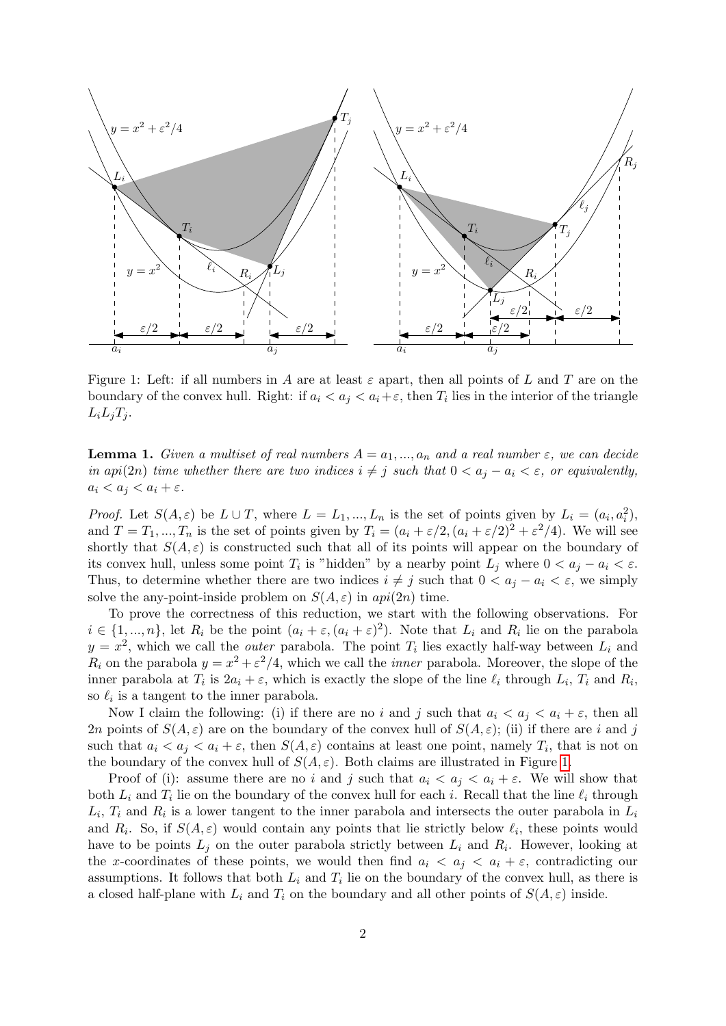

<span id="page-1-0"></span>Figure 1: Left: if all numbers in A are at least  $\varepsilon$  apart, then all points of L and T are on the boundary of the convex hull. Right: if  $a_i < a_j < a_i + \varepsilon$ , then  $T_i$  lies in the interior of the triangle  $L_i L_j T_j$ .

<span id="page-1-1"></span>**Lemma 1.** Given a multiset of real numbers  $A = a_1, ..., a_n$  and a real number  $\varepsilon$ , we can decide in api(2n) time whether there are two indices  $i \neq j$  such that  $0 < a_j - a_i < \varepsilon$ , or equivalently,  $a_i < a_j < a_i + \varepsilon$ .

*Proof.* Let  $S(A, \varepsilon)$  be  $L \cup T$ , where  $L = L_1, ..., L_n$  is the set of points given by  $L_i = (a_i, a_i^2)$ , and  $T = T_1, ..., T_n$  is the set of points given by  $T_i = (a_i + \varepsilon/2, (a_i + \varepsilon/2)^2 + \varepsilon^2/4)$ . We will see shortly that  $S(A, \varepsilon)$  is constructed such that all of its points will appear on the boundary of its convex hull, unless some point  $T_i$  is "hidden" by a nearby point  $L_j$  where  $0 < a_j - a_i < \varepsilon$ . Thus, to determine whether there are two indices  $i \neq j$  such that  $0 < a_j - a_i < \varepsilon$ , we simply solve the any-point-inside problem on  $S(A, \varepsilon)$  in  $api(2n)$  time.

To prove the correctness of this reduction, we start with the following observations. For  $i \in \{1, ..., n\}$ , let  $R_i$  be the point  $(a_i + \varepsilon, (a_i + \varepsilon)^2)$ . Note that  $L_i$  and  $R_i$  lie on the parabola  $y = x^2$ , which we call the *outer* parabola. The point  $T_i$  lies exactly half-way between  $L_i$  and  $R_i$  on the parabola  $y = x^2 + \varepsilon^2/4$ , which we call the *inner* parabola. Moreover, the slope of the inner parabola at  $T_i$  is  $2a_i + \varepsilon$ , which is exactly the slope of the line  $\ell_i$  through  $L_i$ ,  $T_i$  and  $R_i$ , so  $\ell_i$  is a tangent to the inner parabola.

Now I claim the following: (i) if there are no i and j such that  $a_i < a_j < a_i + \varepsilon$ , then all 2n points of  $S(A, \varepsilon)$  are on the boundary of the convex hull of  $S(A, \varepsilon)$ ; (ii) if there are i and j such that  $a_i < a_j < a_i + \varepsilon$ , then  $S(A, \varepsilon)$  contains at least one point, namely  $T_i$ , that is not on the boundary of the convex hull of  $S(A, \varepsilon)$ . Both claims are illustrated in Figure [1.](#page-1-0)

Proof of (i): assume there are no i and j such that  $a_i < a_j < a_i + \varepsilon$ . We will show that both  $L_i$  and  $T_i$  lie on the boundary of the convex hull for each i. Recall that the line  $\ell_i$  through  $L_i$ ,  $T_i$  and  $R_i$  is a lower tangent to the inner parabola and intersects the outer parabola in  $L_i$ and  $R_i$ . So, if  $S(A, \varepsilon)$  would contain any points that lie strictly below  $\ell_i$ , these points would have to be points  $L_j$  on the outer parabola strictly between  $L_i$  and  $R_i$ . However, looking at the x-coordinates of these points, we would then find  $a_i < a_j < a_i + \varepsilon$ , contradicting our assumptions. It follows that both  $L_i$  and  $T_i$  lie on the boundary of the convex hull, as there is a closed half-plane with  $L_i$  and  $T_i$  on the boundary and all other points of  $S(A, \varepsilon)$  inside.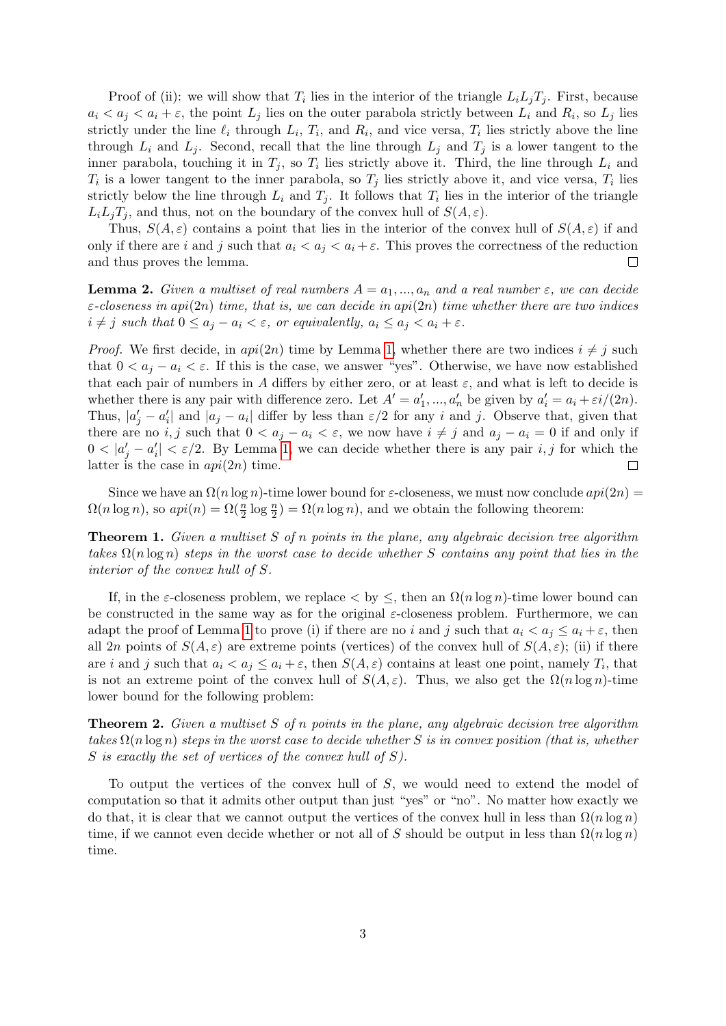Proof of (ii): we will show that  $T_i$  lies in the interior of the triangle  $L_i L_j T_j$ . First, because  $a_i < a_j < a_i + \varepsilon$ , the point  $L_j$  lies on the outer parabola strictly between  $L_i$  and  $R_i$ , so  $L_j$  lies strictly under the line  $\ell_i$  through  $L_i$ ,  $T_i$ , and  $R_i$ , and vice versa,  $T_i$  lies strictly above the line through  $L_i$  and  $L_j$ . Second, recall that the line through  $L_j$  and  $T_j$  is a lower tangent to the inner parabola, touching it in  $T_j$ , so  $T_i$  lies strictly above it. Third, the line through  $L_i$  and  $T_i$  is a lower tangent to the inner parabola, so  $T_j$  lies strictly above it, and vice versa,  $T_i$  lies strictly below the line through  $L_i$  and  $T_j$ . It follows that  $T_i$  lies in the interior of the triangle  $L_i L_j T_j$ , and thus, not on the boundary of the convex hull of  $S(A, \varepsilon)$ .

Thus,  $S(A, \varepsilon)$  contains a point that lies in the interior of the convex hull of  $S(A, \varepsilon)$  if and only if there are i and j such that  $a_i < a_j < a_i + \varepsilon$ . This proves the correctness of the reduction and thus proves the lemma.  $\Box$ 

<span id="page-2-2"></span>**Lemma 2.** Given a multiset of real numbers  $A = a_1, ..., a_n$  and a real number  $\varepsilon$ , we can decide  $\varepsilon$ -closeness in api(2n) time, that is, we can decide in api(2n) time whether there are two indices  $i \neq j$  such that  $0 \leq a_j - a_i < \varepsilon$ , or equivalently,  $a_i \leq a_j < a_i + \varepsilon$ .

*Proof.* We first decide, in  $api(2n)$  time by Lemma [1,](#page-1-1) whether there are two indices  $i \neq j$  such that  $0 < a_j - a_i < \varepsilon$ . If this is the case, we answer "yes". Otherwise, we have now established that each pair of numbers in A differs by either zero, or at least  $\varepsilon$ , and what is left to decide is whether there is any pair with difference zero. Let  $A' = a'_1, ..., a'_n$  be given by  $a'_i = a_i + \varepsilon i/(2n)$ . Thus,  $|a'_j - a'_i|$  and  $|a_j - a_i|$  differ by less than  $\varepsilon/2$  for any i and j. Observe that, given that there are no i, j such that  $0 < a_i - a_i < \varepsilon$ , we now have  $i \neq j$  and  $a_i - a_i = 0$  if and only if  $0 < |a'_j - a'_i| < \varepsilon/2$ . By Lemma [1,](#page-1-1) we can decide whether there is any pair i, j for which the latter is the case in  $api(2n)$  time.  $\Box$ 

Since we have an  $\Omega(n \log n)$ -time lower bound for  $\varepsilon$ -closeness, we must now conclude  $api(2n)$  $\Omega(n \log n)$ , so  $api(n) = \Omega(\frac{n}{2} \log \frac{n}{2}) = \Omega(n \log n)$ , and we obtain the following theorem:

<span id="page-2-1"></span>**Theorem 1.** Given a multiset S of n points in the plane, any algebraic decision tree algorithm takes  $\Omega(n \log n)$  steps in the worst case to decide whether S contains any point that lies in the interior of the convex hull of S.

If, in the  $\varepsilon$ -closeness problem, we replace  $\langle$  by  $\langle$ , then an  $\Omega(n \log n)$ -time lower bound can be constructed in the same way as for the original  $\varepsilon$ -closeness problem. Furthermore, we can adapt the proof of Lemma [1](#page-1-1) to prove (i) if there are no i and j such that  $a_i < a_j \leq a_i + \varepsilon$ , then all 2n points of  $S(A, \varepsilon)$  are extreme points (vertices) of the convex hull of  $S(A, \varepsilon)$ ; (ii) if there are i and j such that  $a_i < a_j \le a_i + \varepsilon$ , then  $S(A, \varepsilon)$  contains at least one point, namely  $T_i$ , that is not an extreme point of the convex hull of  $S(A, \varepsilon)$ . Thus, we also get the  $\Omega(n \log n)$ -time lower bound for the following problem:

<span id="page-2-0"></span>**Theorem 2.** Given a multiset S of n points in the plane, any algebraic decision tree algorithm takes  $\Omega(n \log n)$  steps in the worst case to decide whether S is in convex position (that is, whether S is exactly the set of vertices of the convex hull of S).

To output the vertices of the convex hull of S, we would need to extend the model of computation so that it admits other output than just "yes" or "no". No matter how exactly we do that, it is clear that we cannot output the vertices of the convex hull in less than  $\Omega(n \log n)$ time, if we cannot even decide whether or not all of S should be output in less than  $\Omega(n \log n)$ time.